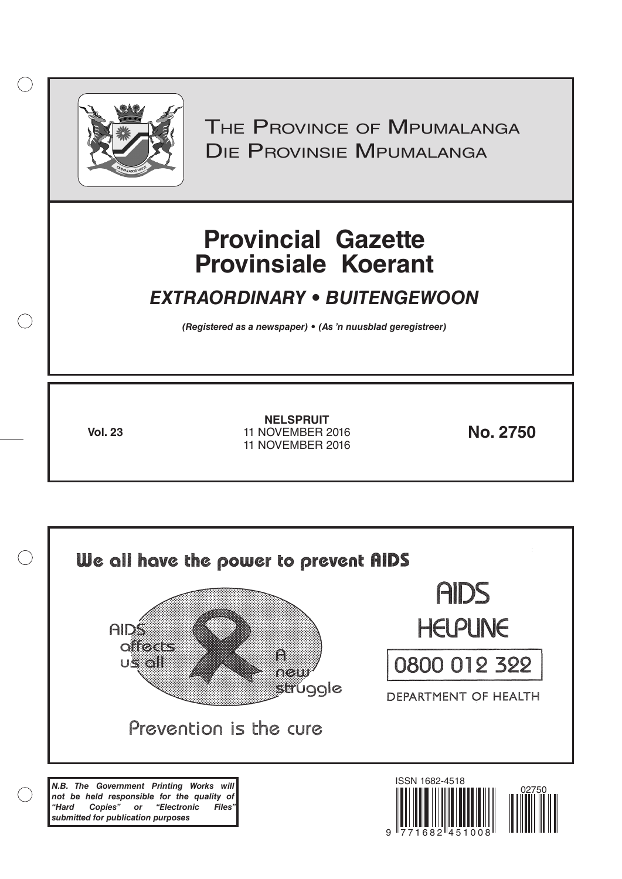

 $( )$ 

THE PROVINCE OF MPUMALANGA Die Provinsie Mpumalanga

# **Provincial Gazette Provinsiale Koerant**

# *EXTRAORDINARY • BUITENGEWOON*

*(Registered as a newspaper) • (As 'n nuusblad geregistreer)*

**Vol. 23 No. 2750** 11 NOVEMBER 2016 **NELSPRUIT** 11 NOVEMBER 2016

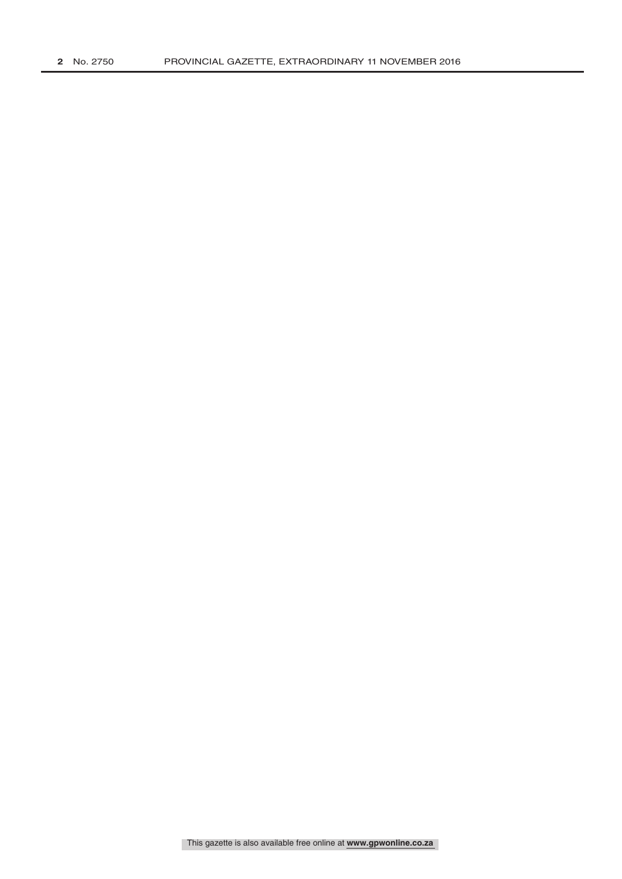This gazette is also available free online at **www.gpwonline.co.za**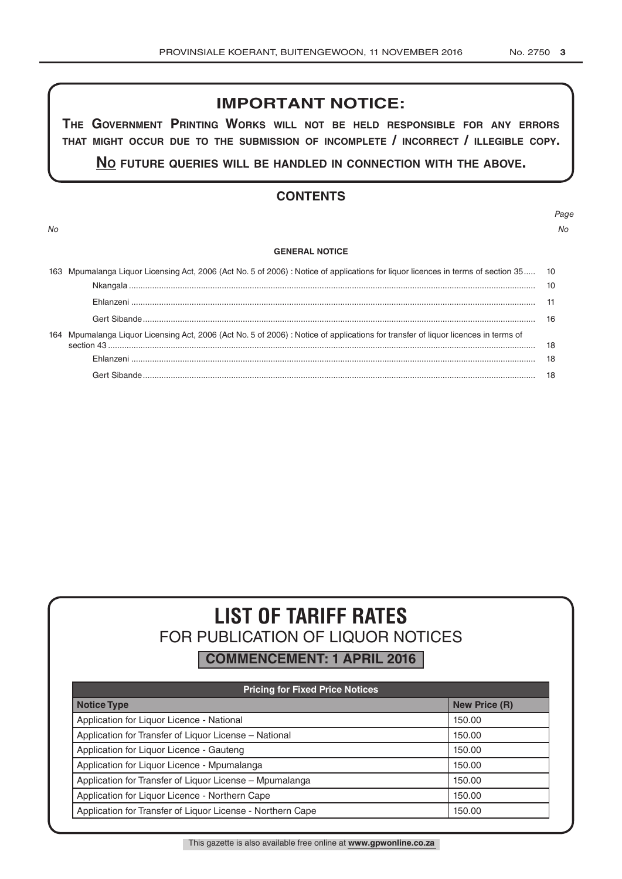# **IMPORTANT NOTICE:**

**The GovernmenT PrinTinG Works Will noT be held resPonsible for any errors ThaT miGhT occur due To The submission of incomPleTe / incorrecT / illeGible coPy.**

**no fuTure queries Will be handled in connecTion WiTh The above.**

# **CONTENTS**

#### **GENERAL NOTICE**

|     | 163 Mpumalanga Liquor Licensing Act, 2006 (Act No. 5 of 2006) : Notice of applications for liquor licences in terms of section 35 10 |    |
|-----|--------------------------------------------------------------------------------------------------------------------------------------|----|
|     |                                                                                                                                      | 10 |
| 164 |                                                                                                                                      | 11 |
|     |                                                                                                                                      | 16 |
|     | Mpumalanga Liquor Licensing Act, 2006 (Act No. 5 of 2006) : Notice of applications for transfer of liquor licences in terms of       | 18 |
|     |                                                                                                                                      | 18 |
|     |                                                                                                                                      | 18 |

# **LIST OF TARIFF RATES** FOR PUBLICATION OF LIQUOR NOTICES

**COMMENCEMENT: 1 APRIL 2016**

| <b>Pricing for Fixed Price Notices</b>                     |                      |  |  |  |  |
|------------------------------------------------------------|----------------------|--|--|--|--|
| <b>Notice Type</b>                                         | <b>New Price (R)</b> |  |  |  |  |
| Application for Liquor Licence - National                  | 150.00               |  |  |  |  |
| Application for Transfer of Liquor License - National      | 150.00               |  |  |  |  |
| Application for Liquor Licence - Gauteng                   | 150.00               |  |  |  |  |
| Application for Liquor Licence - Mpumalanga                | 150.00               |  |  |  |  |
| Application for Transfer of Liquor License - Mpumalanga    | 150.00               |  |  |  |  |
| Application for Liquor Licence - Northern Cape             | 150.00               |  |  |  |  |
| Application for Transfer of Liquor License - Northern Cape | 150.00               |  |  |  |  |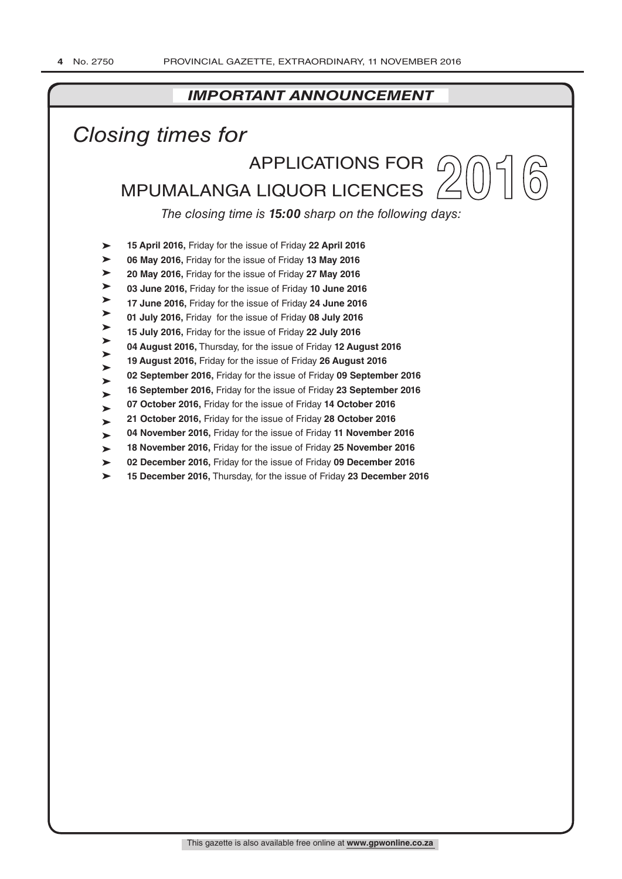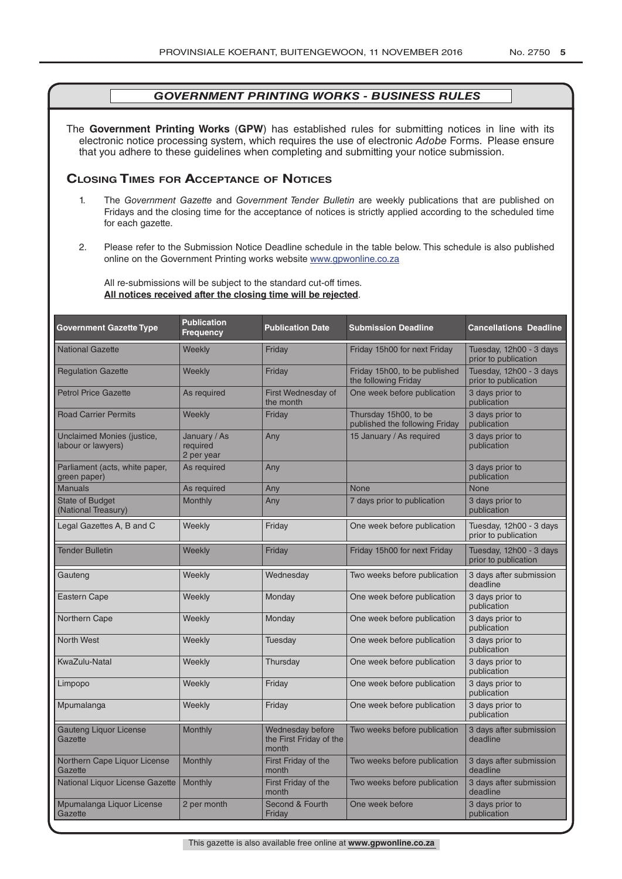The **Government Printing Works** (**GPW**) has established rules for submitting notices in line with its electronic notice processing system, which requires the use of electronic *Adobe* Forms. Please ensure that you adhere to these guidelines when completing and submitting your notice submission.

# **Closing Times for ACCepTAnCe of noTiCes**

- 1. The *Government Gazette* and *Government Tender Bulletin* are weekly publications that are published on Fridays and the closing time for the acceptance of notices is strictly applied according to the scheduled time for each gazette.
- 2. Please refer to the Submission Notice Deadline schedule in the table below. This schedule is also published online on the Government Printing works website www.gpwonline.co.za

All re-submissions will be subject to the standard cut-off times. **All notices received after the closing time will be rejected**.

| <b>Government Gazette Type</b>                   | <b>Publication</b><br><b>Frequency</b> | <b>Publication Date</b>                              | <b>Submission Deadline</b>                              | <b>Cancellations Deadline</b>                   |
|--------------------------------------------------|----------------------------------------|------------------------------------------------------|---------------------------------------------------------|-------------------------------------------------|
| <b>National Gazette</b>                          | Weekly                                 | Friday                                               | Friday 15h00 for next Friday                            | Tuesday, 12h00 - 3 days<br>prior to publication |
| <b>Regulation Gazette</b>                        | Weekly                                 | Friday                                               | Friday 15h00, to be published<br>the following Friday   | Tuesday, 12h00 - 3 days<br>prior to publication |
| <b>Petrol Price Gazette</b>                      | As required                            | First Wednesday of<br>the month                      | One week before publication                             | 3 days prior to<br>publication                  |
| <b>Road Carrier Permits</b>                      | Weekly                                 | Friday                                               | Thursday 15h00, to be<br>published the following Friday | 3 days prior to<br>publication                  |
| Unclaimed Monies (justice,<br>labour or lawyers) | January / As<br>required<br>2 per year | Any                                                  | 15 January / As required                                | 3 days prior to<br>publication                  |
| Parliament (acts, white paper,<br>green paper)   | As required                            | Any                                                  |                                                         | 3 days prior to<br>publication                  |
| <b>Manuals</b>                                   | As required                            | Any                                                  | <b>None</b>                                             | <b>None</b>                                     |
| <b>State of Budget</b><br>(National Treasury)    | Monthly                                | Any                                                  | 7 days prior to publication                             | 3 days prior to<br>publication                  |
| Legal Gazettes A, B and C                        | Weekly                                 | Friday                                               | One week before publication                             | Tuesday, 12h00 - 3 days<br>prior to publication |
| <b>Tender Bulletin</b>                           | Weekly                                 | Friday                                               | Friday 15h00 for next Friday                            | Tuesday, 12h00 - 3 days<br>prior to publication |
| Gauteng                                          | Weekly                                 | Wednesday                                            | Two weeks before publication                            | 3 days after submission<br>deadline             |
| <b>Eastern Cape</b>                              | Weekly                                 | Monday                                               | One week before publication                             | 3 days prior to<br>publication                  |
| Northern Cape                                    | Weekly                                 | Monday                                               | One week before publication                             | 3 days prior to<br>publication                  |
| <b>North West</b>                                | Weekly                                 | Tuesday                                              | One week before publication                             | 3 days prior to<br>publication                  |
| KwaZulu-Natal                                    | Weekly                                 | Thursdav                                             | One week before publication                             | 3 days prior to<br>publication                  |
| Limpopo                                          | Weekly                                 | Friday                                               | One week before publication                             | 3 days prior to<br>publication                  |
| Mpumalanga                                       | Weekly                                 | Friday                                               | One week before publication                             | 3 days prior to<br>publication                  |
| <b>Gauteng Liquor License</b><br>Gazette         | Monthly                                | Wednesday before<br>the First Friday of the<br>month | Two weeks before publication                            | 3 days after submission<br>deadline             |
| Northern Cape Liguor License<br>Gazette          | Monthly                                | First Friday of the<br>month                         | Two weeks before publication                            | 3 days after submission<br>deadline             |
| National Liquor License Gazette                  | <b>Monthly</b>                         | First Friday of the<br>month                         | Two weeks before publication                            | 3 days after submission<br>deadline             |
| Mpumalanga Liquor License<br>Gazette             | 2 per month                            | Second & Fourth<br>Friday                            | One week before                                         | 3 days prior to<br>publication                  |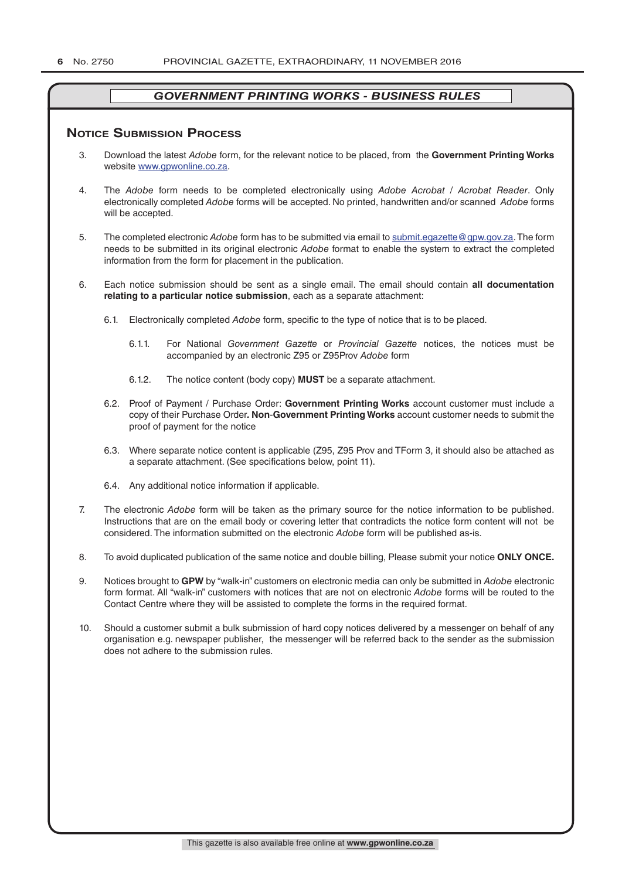## **NOTICE SUBMISSION PROCESS**

- 3. Download the latest *Adobe* form, for the relevant notice to be placed, from the **Government Printing Works** website www.gpwonline.co.za.
- 4. The *Adobe* form needs to be completed electronically using *Adobe Acrobat* / *Acrobat Reader*. Only electronically completed *Adobe* forms will be accepted. No printed, handwritten and/or scanned *Adobe* forms will be accepted.
- 5. The completed electronic *Adobe* form has to be submitted via email to submit.egazette@gpw.gov.za. The form needs to be submitted in its original electronic *Adobe* format to enable the system to extract the completed information from the form for placement in the publication.
- 6. Each notice submission should be sent as a single email. The email should contain **all documentation relating to a particular notice submission**, each as a separate attachment:
	- 6.1. Electronically completed *Adobe* form, specific to the type of notice that is to be placed.
		- 6.1.1. For National *Government Gazette* or *Provincial Gazette* notices, the notices must be accompanied by an electronic Z95 or Z95Prov *Adobe* form
		- 6.1.2. The notice content (body copy) **MUST** be a separate attachment.
	- 6.2. Proof of Payment / Purchase Order: **Government Printing Works** account customer must include a copy of their Purchase Order*.* **Non**-**Government Printing Works** account customer needs to submit the proof of payment for the notice
	- 6.3. Where separate notice content is applicable (Z95, Z95 Prov and TForm 3, it should also be attached as a separate attachment. (See specifications below, point 11).
	- 6.4. Any additional notice information if applicable.
- 7. The electronic *Adobe* form will be taken as the primary source for the notice information to be published. Instructions that are on the email body or covering letter that contradicts the notice form content will not be considered. The information submitted on the electronic *Adobe* form will be published as-is.
- 8. To avoid duplicated publication of the same notice and double billing, Please submit your notice **ONLY ONCE.**
- 9. Notices brought to **GPW** by "walk-in" customers on electronic media can only be submitted in *Adobe* electronic form format. All "walk-in" customers with notices that are not on electronic *Adobe* forms will be routed to the Contact Centre where they will be assisted to complete the forms in the required format.
- 10. Should a customer submit a bulk submission of hard copy notices delivered by a messenger on behalf of any organisation e.g. newspaper publisher, the messenger will be referred back to the sender as the submission does not adhere to the submission rules.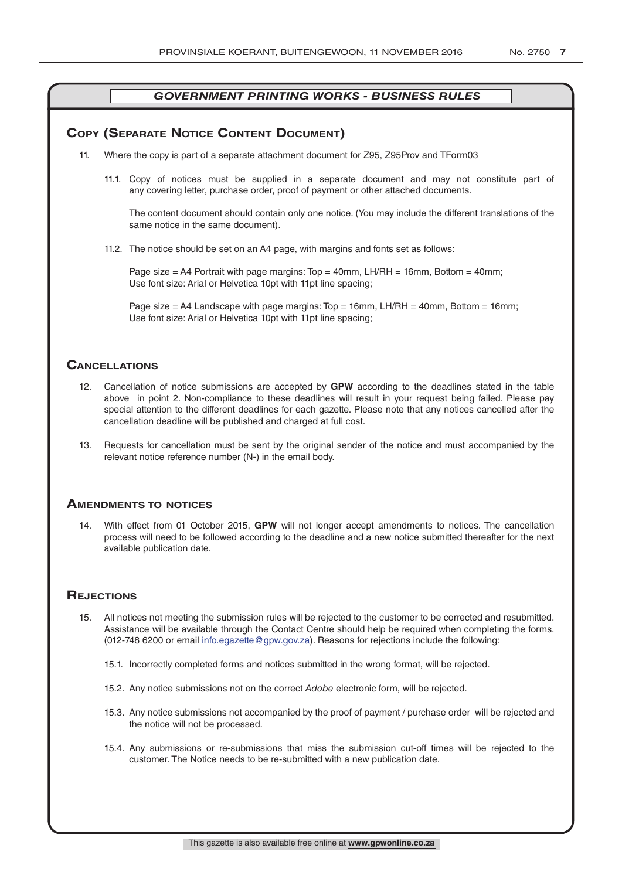# **COPY (SEPARATE NOTICE CONTENT DOCUMENT)**

- 11. Where the copy is part of a separate attachment document for Z95, Z95Prov and TForm03
	- 11.1. Copy of notices must be supplied in a separate document and may not constitute part of any covering letter, purchase order, proof of payment or other attached documents.

The content document should contain only one notice. (You may include the different translations of the same notice in the same document).

11.2. The notice should be set on an A4 page, with margins and fonts set as follows:

Page size  $=$  A4 Portrait with page margins: Top  $=$  40mm, LH/RH  $=$  16mm, Bottom  $=$  40mm; Use font size: Arial or Helvetica 10pt with 11pt line spacing;

Page size = A4 Landscape with page margins: Top = 16mm, LH/RH = 40mm, Bottom = 16mm; Use font size: Arial or Helvetica 10pt with 11pt line spacing;

### **CAnCellATions**

- 12. Cancellation of notice submissions are accepted by **GPW** according to the deadlines stated in the table above in point 2. Non-compliance to these deadlines will result in your request being failed. Please pay special attention to the different deadlines for each gazette. Please note that any notices cancelled after the cancellation deadline will be published and charged at full cost.
- 13. Requests for cancellation must be sent by the original sender of the notice and must accompanied by the relevant notice reference number (N-) in the email body.

#### **AmenDmenTs To noTiCes**

14. With effect from 01 October 2015, **GPW** will not longer accept amendments to notices. The cancellation process will need to be followed according to the deadline and a new notice submitted thereafter for the next available publication date.

#### **REJECTIONS**

- 15. All notices not meeting the submission rules will be rejected to the customer to be corrected and resubmitted. Assistance will be available through the Contact Centre should help be required when completing the forms. (012-748 6200 or email info.egazette@gpw.gov.za). Reasons for rejections include the following:
	- 15.1. Incorrectly completed forms and notices submitted in the wrong format, will be rejected.
	- 15.2. Any notice submissions not on the correct *Adobe* electronic form, will be rejected.
	- 15.3. Any notice submissions not accompanied by the proof of payment / purchase order will be rejected and the notice will not be processed.
	- 15.4. Any submissions or re-submissions that miss the submission cut-off times will be rejected to the customer. The Notice needs to be re-submitted with a new publication date.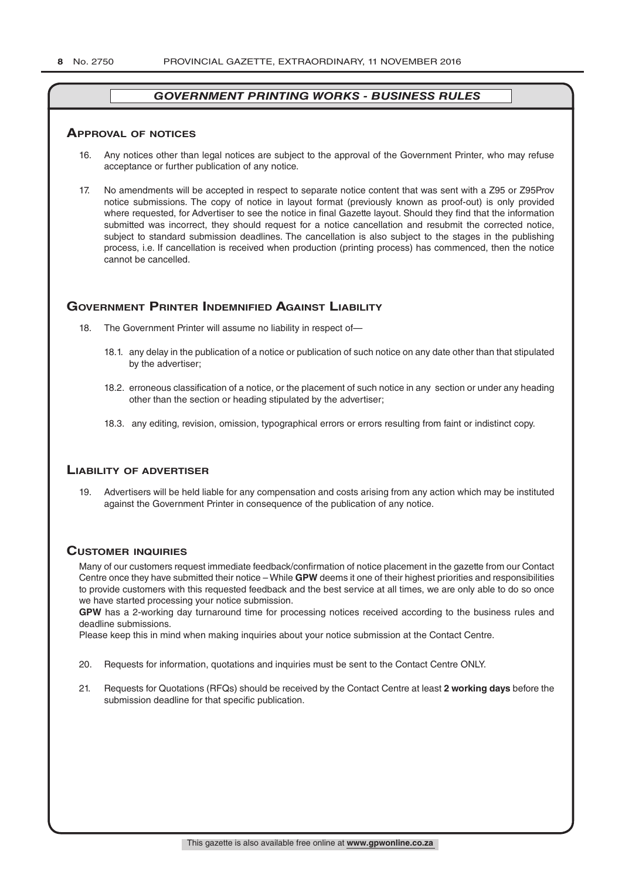#### **ApprovAl of noTiCes**

- 16. Any notices other than legal notices are subject to the approval of the Government Printer, who may refuse acceptance or further publication of any notice.
- 17. No amendments will be accepted in respect to separate notice content that was sent with a Z95 or Z95Prov notice submissions. The copy of notice in layout format (previously known as proof-out) is only provided where requested, for Advertiser to see the notice in final Gazette layout. Should they find that the information submitted was incorrect, they should request for a notice cancellation and resubmit the corrected notice, subject to standard submission deadlines. The cancellation is also subject to the stages in the publishing process, i.e. If cancellation is received when production (printing process) has commenced, then the notice cannot be cancelled.

# **GOVERNMENT PRINTER INDEMNIFIED AGAINST LIABILITY**

- 18. The Government Printer will assume no liability in respect of-
	- 18.1. any delay in the publication of a notice or publication of such notice on any date other than that stipulated by the advertiser;
	- 18.2. erroneous classification of a notice, or the placement of such notice in any section or under any heading other than the section or heading stipulated by the advertiser;
	- 18.3. any editing, revision, omission, typographical errors or errors resulting from faint or indistinct copy.

#### **liAbiliTy of ADverTiser**

19. Advertisers will be held liable for any compensation and costs arising from any action which may be instituted against the Government Printer in consequence of the publication of any notice.

#### **CusTomer inquiries**

Many of our customers request immediate feedback/confirmation of notice placement in the gazette from our Contact Centre once they have submitted their notice – While **GPW** deems it one of their highest priorities and responsibilities to provide customers with this requested feedback and the best service at all times, we are only able to do so once we have started processing your notice submission.

**GPW** has a 2-working day turnaround time for processing notices received according to the business rules and deadline submissions.

Please keep this in mind when making inquiries about your notice submission at the Contact Centre.

- 20. Requests for information, quotations and inquiries must be sent to the Contact Centre ONLY.
- 21. Requests for Quotations (RFQs) should be received by the Contact Centre at least **2 working days** before the submission deadline for that specific publication.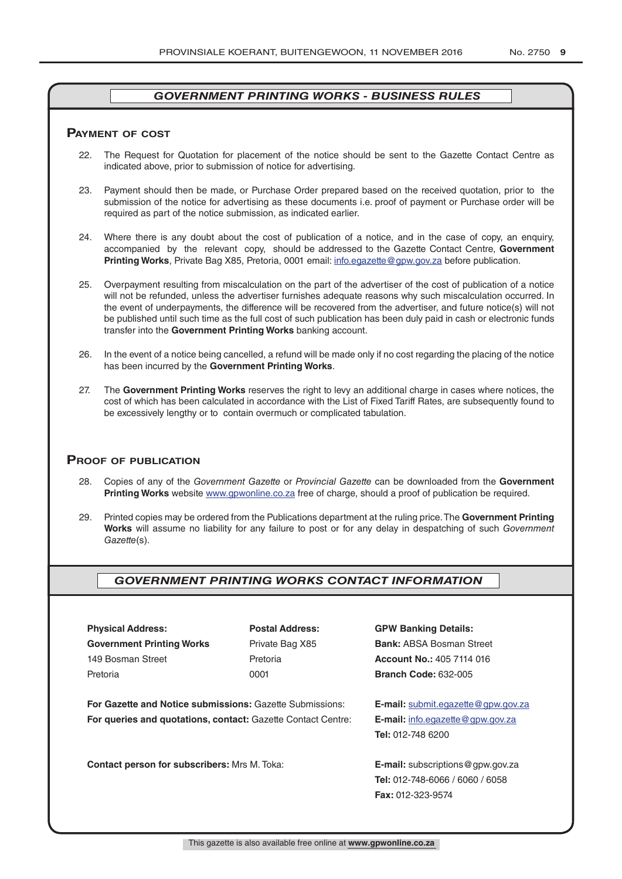### **pAymenT of CosT**

- 22. The Request for Quotation for placement of the notice should be sent to the Gazette Contact Centre as indicated above, prior to submission of notice for advertising.
- 23. Payment should then be made, or Purchase Order prepared based on the received quotation, prior to the submission of the notice for advertising as these documents i.e. proof of payment or Purchase order will be required as part of the notice submission, as indicated earlier.
- 24. Where there is any doubt about the cost of publication of a notice, and in the case of copy, an enquiry, accompanied by the relevant copy, should be addressed to the Gazette Contact Centre, **Government Printing Works**, Private Bag X85, Pretoria, 0001 email: info.egazette@gpw.gov.za before publication.
- 25. Overpayment resulting from miscalculation on the part of the advertiser of the cost of publication of a notice will not be refunded, unless the advertiser furnishes adequate reasons why such miscalculation occurred. In the event of underpayments, the difference will be recovered from the advertiser, and future notice(s) will not be published until such time as the full cost of such publication has been duly paid in cash or electronic funds transfer into the **Government Printing Works** banking account.
- 26. In the event of a notice being cancelled, a refund will be made only if no cost regarding the placing of the notice has been incurred by the **Government Printing Works**.
- 27. The **Government Printing Works** reserves the right to levy an additional charge in cases where notices, the cost of which has been calculated in accordance with the List of Fixed Tariff Rates, are subsequently found to be excessively lengthy or to contain overmuch or complicated tabulation.

# **proof of publiCATion**

- 28. Copies of any of the *Government Gazette* or *Provincial Gazette* can be downloaded from the **Government Printing Works** website www.gpwonline.co.za free of charge, should a proof of publication be required.
- 29. Printed copies may be ordered from the Publications department at the ruling price. The **Government Printing Works** will assume no liability for any failure to post or for any delay in despatching of such *Government Gazette*(s).

# *GOVERNMENT PRINTING WORKS CONTACT INFORMATION*

**Physical Address: Postal Address: GPW Banking Details: Government Printing Works** Private Bag X85 **Bank:** ABSA Bosman Street 149 Bosman Street Pretoria **Account No.:** 405 7114 016 Pretoria 0001 **Branch Code:** 632-005

**For Gazette and Notice submissions:** Gazette Submissions: **E-mail:** submit.egazette@gpw.gov.za **For queries and quotations, contact:** Gazette Contact Centre: **E-mail:** info.egazette@gpw.gov.za

**Contact person for subscribers:** Mrs M. Toka: **E-mail:** subscriptions@gpw.gov.za

**Tel:** 012-748 6200

**Tel:** 012-748-6066 / 6060 / 6058 **Fax:** 012-323-9574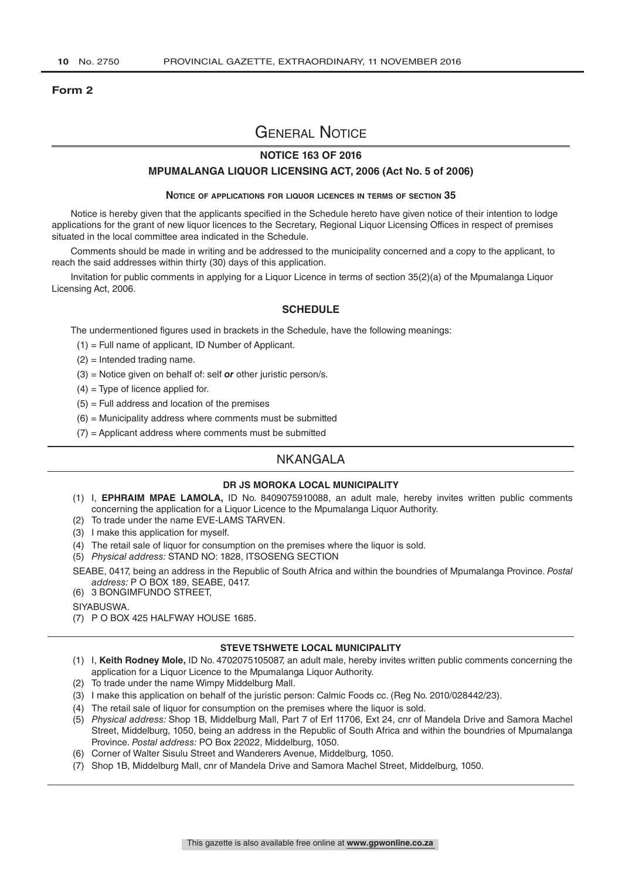#### **Form 2**

# General Notice

### **NOTICE 163 OF 2016**

#### **MPUMALANGA LIQUOR LICENSING ACT, 2006 (Act No. 5 of 2006)**

#### **Notice of applications for liquor licences in terms of section 35**

Notice is hereby given that the applicants specified in the Schedule hereto have given notice of their intention to lodge applications for the grant of new liquor licences to the Secretary, Regional Liquor Licensing Offices in respect of premises situated in the local committee area indicated in the Schedule.

Comments should be made in writing and be addressed to the municipality concerned and a copy to the applicant, to reach the said addresses within thirty (30) days of this application.

Invitation for public comments in applying for a Liquor Licence in terms of section 35(2)(a) of the Mpumalanga Liquor Licensing Act, 2006.

#### **SCHEDULE**

The undermentioned figures used in brackets in the Schedule, have the following meanings:

- (1) = Full name of applicant, ID Number of Applicant.
- (2) = Intended trading name.
- (3) = Notice given on behalf of: self *or* other juristic person/s.
- $(4)$  = Type of licence applied for.
- $(5)$  = Full address and location of the premises
- $(6)$  = Municipality address where comments must be submitted
- $(7)$  = Applicant address where comments must be submitted

# **NKANGALA**

#### **DR JS MOROKA LOCAL MUNICIPALITY**

- (1) I, **EPHRAIM MPAE LAMOLA,** ID No. 8409075910088, an adult male, hereby invites written public comments concerning the application for a Liquor Licence to the Mpumalanga Liquor Authority.
- (2) To trade under the name EVE-LAMS TARVEN.
- (3) I make this application for myself.
- (4) The retail sale of liquor for consumption on the premises where the liquor is sold.
- (5) *Physical address:* STAND NO: 1828, ITSOSENG SECTION
- SEABE, 0417, being an address in the Republic of South Africa and within the boundries of Mpumalanga Province. *Postal address:* P O BOX 189, SEABE, 0417.
- (6) 3 BONGIMFUNDO STREET,
- SIYABUSWA.
- (7) P O BOX 425 HALFWAY HOUSE 1685.

#### **STEVE TSHWETE LOCAL MUNICIPALITY**

- (1) I, **Keith Rodney Mole,** ID No. 4702075105087, an adult male, hereby invites written public comments concerning the application for a Liquor Licence to the Mpumalanga Liquor Authority.
- (2) To trade under the name Wimpy Middelburg Mall.
- (3) I make this application on behalf of the juristic person: Calmic Foods cc. (Reg No. 2010/028442/23).
- (4) The retail sale of liquor for consumption on the premises where the liquor is sold.
- (5) *Physical address:* Shop 1B, Middelburg Mall, Part 7 of Erf 11706, Ext 24, cnr of Mandela Drive and Samora Machel Street, Middelburg, 1050, being an address in the Republic of South Africa and within the boundries of Mpumalanga Province. *Postal address:* PO Box 22022, Middelburg, 1050.
- (6) Corner of Walter Sisulu Street and Wanderers Avenue, Middelburg, 1050.
- (7) Shop 1B, Middelburg Mall, cnr of Mandela Drive and Samora Machel Street, Middelburg, 1050.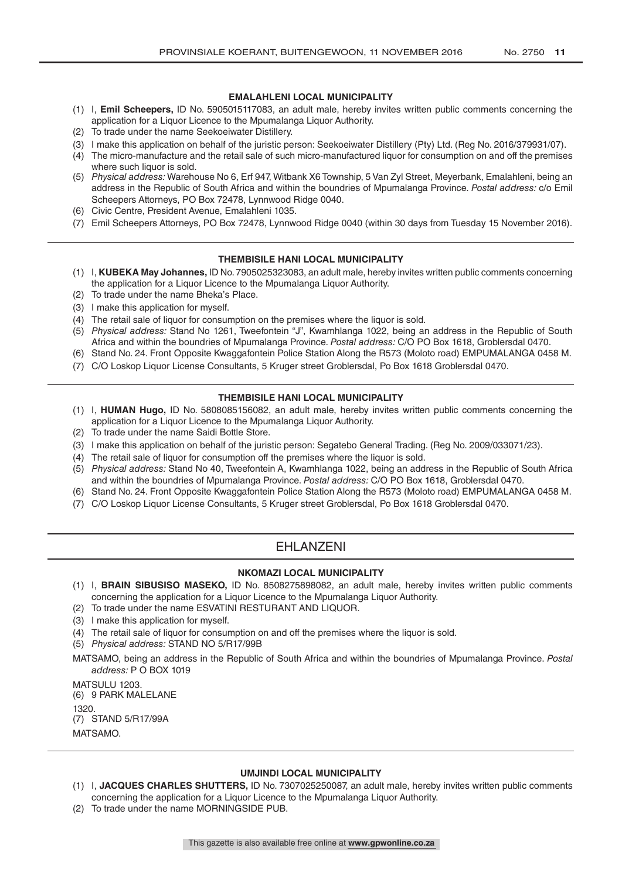#### **EMALAHLENI LOCAL MUNICIPALITY**

- (1) I, **Emil Scheepers,** ID No. 5905015117083, an adult male, hereby invites written public comments concerning the application for a Liquor Licence to the Mpumalanga Liquor Authority.
- (2) To trade under the name Seekoeiwater Distillery.
- (3) I make this application on behalf of the juristic person: Seekoeiwater Distillery (Pty) Ltd. (Reg No. 2016/379931/07).
- (4) The micro-manufacture and the retail sale of such micro-manufactured liquor for consumption on and off the premises where such liquor is sold.
- (5) *Physical address:* Warehouse No 6, Erf 947, Witbank X6 Township, 5 Van Zyl Street, Meyerbank, Emalahleni, being an address in the Republic of South Africa and within the boundries of Mpumalanga Province. *Postal address:* c/o Emil Scheepers Attorneys, PO Box 72478, Lynnwood Ridge 0040.
- (6) Civic Centre, President Avenue, Emalahleni 1035.
- (7) Emil Scheepers Attorneys, PO Box 72478, Lynnwood Ridge 0040 (within 30 days from Tuesday 15 November 2016).

#### **THEMBISILE HANI LOCAL MUNICIPALITY**

- (1) I, **KUBEKA May Johannes,** ID No. 7905025323083, an adult male, hereby invites written public comments concerning the application for a Liquor Licence to the Mpumalanga Liquor Authority.
- (2) To trade under the name Bheka's Place.
- (3) I make this application for myself.
- (4) The retail sale of liquor for consumption on the premises where the liquor is sold.
- (5) *Physical address:* Stand No 1261, Tweefontein "J", Kwamhlanga 1022, being an address in the Republic of South Africa and within the boundries of Mpumalanga Province. *Postal address:* C/O PO Box 1618, Groblersdal 0470.
- (6) Stand No. 24. Front Opposite Kwaggafontein Police Station Along the R573 (Moloto road) EMPUMALANGA 0458 M.
- (7) C/O Loskop Liquor License Consultants, 5 Kruger street Groblersdal, Po Box 1618 Groblersdal 0470.

#### **THEMBISILE HANI LOCAL MUNICIPALITY**

- (1) I, **HUMAN Hugo,** ID No. 5808085156082, an adult male, hereby invites written public comments concerning the application for a Liquor Licence to the Mpumalanga Liquor Authority.
- (2) To trade under the name Saidi Bottle Store.
- (3) I make this application on behalf of the juristic person: Segatebo General Trading. (Reg No. 2009/033071/23).
- (4) The retail sale of liquor for consumption off the premises where the liquor is sold.
- (5) *Physical address:* Stand No 40, Tweefontein A, Kwamhlanga 1022, being an address in the Republic of South Africa and within the boundries of Mpumalanga Province. *Postal address:* C/O PO Box 1618, Groblersdal 0470.
- (6) Stand No. 24. Front Opposite Kwaggafontein Police Station Along the R573 (Moloto road) EMPUMALANGA 0458 M.
- (7) C/O Loskop Liquor License Consultants, 5 Kruger street Groblersdal, Po Box 1618 Groblersdal 0470.

# **FHI ANZENI**

#### **NKOMAZI LOCAL MUNICIPALITY**

- (1) I, **BRAIN SIBUSISO MASEKO,** ID No. 8508275898082, an adult male, hereby invites written public comments concerning the application for a Liquor Licence to the Mpumalanga Liquor Authority.
- (2) To trade under the name ESVATINI RESTURANT AND LIQUOR.
- (3) I make this application for myself.
- (4) The retail sale of liquor for consumption on and off the premises where the liquor is sold.
- (5) *Physical address:* STAND NO 5/R17/99B
- MATSAMO, being an address in the Republic of South Africa and within the boundries of Mpumalanga Province. *Postal address:* P O BOX 1019

MATSULU 1203. (6) 9 PARK MALELANE 1320. (7) STAND 5/R17/99A MATSAMO.

#### **UMJINDI LOCAL MUNICIPALITY**

- (1) I, **JACQUES CHARLES SHUTTERS,** ID No. 7307025250087, an adult male, hereby invites written public comments concerning the application for a Liquor Licence to the Mpumalanga Liquor Authority.
- (2) To trade under the name MORNINGSIDE PUB.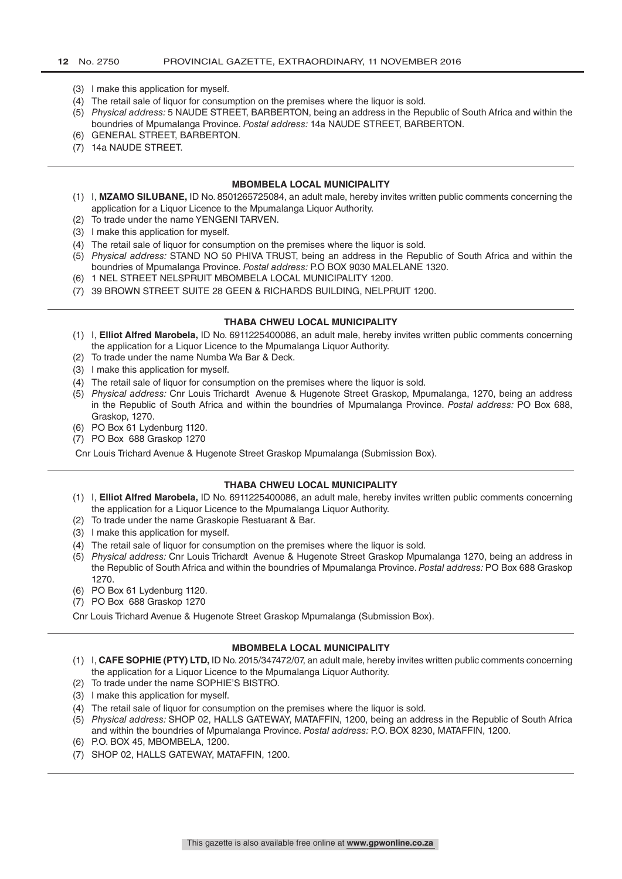- (3) I make this application for myself.
- (4) The retail sale of liquor for consumption on the premises where the liquor is sold.
- (5) *Physical address:* 5 NAUDE STREET, BARBERTON, being an address in the Republic of South Africa and within the boundries of Mpumalanga Province. *Postal address:* 14a NAUDE STREET, BARBERTON.
- (6) GENERAL STREET, BARBERTON.
- (7) 14a NAUDE STREET.

#### **MBOMBELA LOCAL MUNICIPALITY**

- (1) I, **MZAMO SILUBANE,** ID No. 8501265725084, an adult male, hereby invites written public comments concerning the application for a Liquor Licence to the Mpumalanga Liquor Authority.
- (2) To trade under the name YENGENI TARVEN.
- (3) I make this application for myself.
- (4) The retail sale of liquor for consumption on the premises where the liquor is sold.
- (5) *Physical address:* STAND NO 50 PHIVA TRUST, being an address in the Republic of South Africa and within the boundries of Mpumalanga Province. *Postal address:* P.O BOX 9030 MALELANE 1320.
- (6) 1 NEL STREET NELSPRUIT MBOMBELA LOCAL MUNICIPALITY 1200.
- (7) 39 BROWN STREET SUITE 28 GEEN & RICHARDS BUILDING, NELPRUIT 1200.

#### **THABA CHWEU LOCAL MUNICIPALITY**

- (1) I, **Elliot Alfred Marobela,** ID No. 6911225400086, an adult male, hereby invites written public comments concerning the application for a Liquor Licence to the Mpumalanga Liquor Authority.
- (2) To trade under the name Numba Wa Bar & Deck.
- (3) I make this application for myself.
- (4) The retail sale of liquor for consumption on the premises where the liquor is sold.
- (5) *Physical address:* Cnr Louis Trichardt Avenue & Hugenote Street Graskop, Mpumalanga, 1270, being an address in the Republic of South Africa and within the boundries of Mpumalanga Province. *Postal address:* PO Box 688, Graskop, 1270.
- (6) PO Box 61 Lydenburg 1120.
- (7) PO Box 688 Graskop 1270

Cnr Louis Trichard Avenue & Hugenote Street Graskop Mpumalanga (Submission Box).

#### **THABA CHWEU LOCAL MUNICIPALITY**

- (1) I, **Elliot Alfred Marobela,** ID No. 6911225400086, an adult male, hereby invites written public comments concerning the application for a Liquor Licence to the Mpumalanga Liquor Authority.
- (2) To trade under the name Graskopie Restuarant & Bar.
- (3) I make this application for myself.
- (4) The retail sale of liquor for consumption on the premises where the liquor is sold.
- (5) *Physical address:* Cnr Louis Trichardt Avenue & Hugenote Street Graskop Mpumalanga 1270, being an address in the Republic of South Africa and within the boundries of Mpumalanga Province. *Postal address:* PO Box 688 Graskop 1270.
- (6) PO Box 61 Lydenburg 1120.
- (7) PO Box 688 Graskop 1270
- Cnr Louis Trichard Avenue & Hugenote Street Graskop Mpumalanga (Submission Box).

#### **MBOMBELA LOCAL MUNICIPALITY**

- (1) I, **CAFE SOPHIE (PTY) LTD,** ID No. 2015/347472/07, an adult male, hereby invites written public comments concerning the application for a Liquor Licence to the Mpumalanga Liquor Authority.
- (2) To trade under the name SOPHIE'S BISTRO.
- (3) I make this application for myself.
- (4) The retail sale of liquor for consumption on the premises where the liquor is sold.
- (5) *Physical address:* SHOP 02, HALLS GATEWAY, MATAFFIN, 1200, being an address in the Republic of South Africa and within the boundries of Mpumalanga Province. *Postal address:* P.O. BOX 8230, MATAFFIN, 1200.
- (6) P.O. BOX 45, MBOMBELA, 1200.
- (7) SHOP 02, HALLS GATEWAY, MATAFFIN, 1200.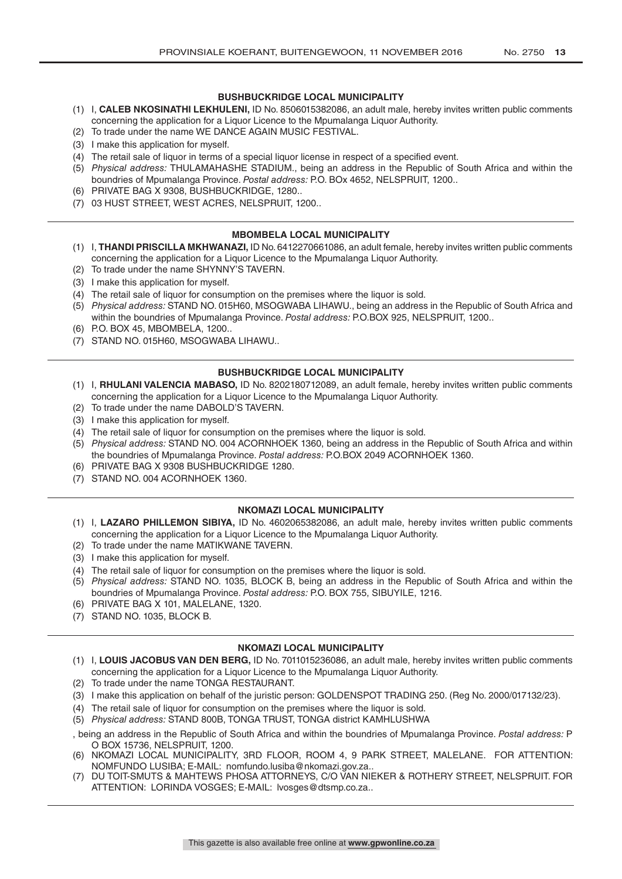#### **BUSHBUCKRIDGE LOCAL MUNICIPALITY**

- (1) I, **CALEB NKOSINATHI LEKHULENI,** ID No. 8506015382086, an adult male, hereby invites written public comments concerning the application for a Liquor Licence to the Mpumalanga Liquor Authority.
- (2) To trade under the name WE DANCE AGAIN MUSIC FESTIVAL.
- (3) I make this application for myself.
- (4) The retail sale of liquor in terms of a special liquor license in respect of a specified event.
- (5) *Physical address:* THULAMAHASHE STADIUM., being an address in the Republic of South Africa and within the boundries of Mpumalanga Province. *Postal address:* P.O. BOx 4652, NELSPRUIT, 1200..
- (6) PRIVATE BAG X 9308, BUSHBUCKRIDGE, 1280..
- (7) 03 HUST STREET, WEST ACRES, NELSPRUIT, 1200..

### **MBOMBELA LOCAL MUNICIPALITY**

- (1) I, **THANDI PRISCILLA MKHWANAZI,** ID No. 6412270661086, an adult female, hereby invites written public comments concerning the application for a Liquor Licence to the Mpumalanga Liquor Authority.
- (2) To trade under the name SHYNNY'S TAVERN.
- (3) I make this application for myself.
- (4) The retail sale of liquor for consumption on the premises where the liquor is sold.
- (5) *Physical address:* STAND NO. 015H60, MSOGWABA LIHAWU., being an address in the Republic of South Africa and within the boundries of Mpumalanga Province. *Postal address:* P.O.BOX 925, NELSPRUIT, 1200..
- (6) P.O. BOX 45, MBOMBELA, 1200..
- (7) STAND NO. 015H60, MSOGWABA LIHAWU..

# **BUSHBUCKRIDGE LOCAL MUNICIPALITY**

- (1) I, **RHULANI VALENCIA MABASO,** ID No. 8202180712089, an adult female, hereby invites written public comments concerning the application for a Liquor Licence to the Mpumalanga Liquor Authority.
- (2) To trade under the name DABOLD'S TAVERN.
- (3) I make this application for myself.
- (4) The retail sale of liquor for consumption on the premises where the liquor is sold.
- (5) *Physical address:* STAND NO. 004 ACORNHOEK 1360, being an address in the Republic of South Africa and within the boundries of Mpumalanga Province. *Postal address:* P.O.BOX 2049 ACORNHOEK 1360.
- (6) PRIVATE BAG X 9308 BUSHBUCKRIDGE 1280.
- (7) STAND NO. 004 ACORNHOEK 1360.

#### **NKOMAZI LOCAL MUNICIPALITY**

- (1) I, **LAZARO PHILLEMON SIBIYA,** ID No. 4602065382086, an adult male, hereby invites written public comments concerning the application for a Liquor Licence to the Mpumalanga Liquor Authority.
- (2) To trade under the name MATIKWANE TAVERN.
- (3) I make this application for myself.
- (4) The retail sale of liquor for consumption on the premises where the liquor is sold.
- (5) *Physical address:* STAND NO. 1035, BLOCK B, being an address in the Republic of South Africa and within the boundries of Mpumalanga Province. *Postal address:* P.O. BOX 755, SIBUYILE, 1216.
- (6) PRIVATE BAG X 101, MALELANE, 1320.
- (7) STAND NO. 1035, BLOCK B.

#### **NKOMAZI LOCAL MUNICIPALITY**

- (1) I, **LOUIS JACOBUS VAN DEN BERG,** ID No. 7011015236086, an adult male, hereby invites written public comments concerning the application for a Liquor Licence to the Mpumalanga Liquor Authority.
- (2) To trade under the name TONGA RESTAURANT.
- (3) I make this application on behalf of the juristic person: GOLDENSPOT TRADING 250. (Reg No. 2000/017132/23).
- (4) The retail sale of liquor for consumption on the premises where the liquor is sold.
- (5) *Physical address:* STAND 800B, TONGA TRUST, TONGA district KAMHLUSHWA

, being an address in the Republic of South Africa and within the boundries of Mpumalanga Province. *Postal address:* P O BOX 15736, NELSPRUIT, 1200.

- (6) NKOMAZI LOCAL MUNICIPALITY, 3RD FLOOR, ROOM 4, 9 PARK STREET, MALELANE. FOR ATTENTION: NOMFUNDO LUSIBA; E-MAIL: nomfundo.lusiba@nkomazi.gov.za..
- (7) DU TOIT-SMUTS & MAHTEWS PHOSA ATTORNEYS, C/O VAN NIEKER & ROTHERY STREET, NELSPRUIT. FOR ATTENTION: LORINDA VOSGES; E-MAIL: lvosges@dtsmp.co.za..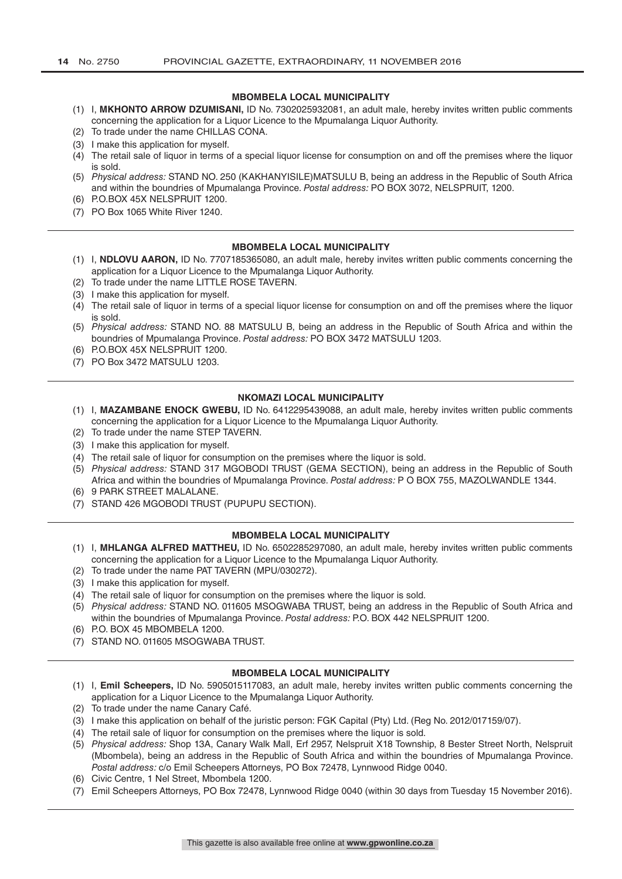#### **MBOMBELA LOCAL MUNICIPALITY**

- (1) I, **MKHONTO ARROW DZUMISANI,** ID No. 7302025932081, an adult male, hereby invites written public comments concerning the application for a Liquor Licence to the Mpumalanga Liquor Authority.
- (2) To trade under the name CHILLAS CONA.
- (3) I make this application for myself.
- (4) The retail sale of liquor in terms of a special liquor license for consumption on and off the premises where the liquor is sold.
- (5) *Physical address:* STAND NO. 250 (KAKHANYISILE)MATSULU B, being an address in the Republic of South Africa and within the boundries of Mpumalanga Province. *Postal address:* PO BOX 3072, NELSPRUIT, 1200.
- (6) P.O.BOX 45X NELSPRUIT 1200.
- (7) PO Box 1065 White River 1240.

#### **MBOMBELA LOCAL MUNICIPALITY**

- (1) I, **NDLOVU AARON,** ID No. 7707185365080, an adult male, hereby invites written public comments concerning the application for a Liquor Licence to the Mpumalanga Liquor Authority.
- (2) To trade under the name LITTLE ROSE TAVERN.
- (3) I make this application for myself.
- (4) The retail sale of liquor in terms of a special liquor license for consumption on and off the premises where the liquor is sold.
- (5) *Physical address:* STAND NO. 88 MATSULU B, being an address in the Republic of South Africa and within the boundries of Mpumalanga Province. *Postal address:* PO BOX 3472 MATSULU 1203.
- (6) P.O.BOX 45X NELSPRUIT 1200.
- (7) PO Box 3472 MATSULU 1203.

#### **NKOMAZI LOCAL MUNICIPALITY**

- (1) I, **MAZAMBANE ENOCK GWEBU,** ID No. 6412295439088, an adult male, hereby invites written public comments concerning the application for a Liquor Licence to the Mpumalanga Liquor Authority.
- (2) To trade under the name STEP TAVERN.
- (3) I make this application for myself.
- (4) The retail sale of liquor for consumption on the premises where the liquor is sold.
- (5) *Physical address:* STAND 317 MGOBODI TRUST (GEMA SECTION), being an address in the Republic of South Africa and within the boundries of Mpumalanga Province. *Postal address:* P O BOX 755, MAZOLWANDLE 1344.
- (6) 9 PARK STREET MALALANE.
- (7) STAND 426 MGOBODI TRUST (PUPUPU SECTION).

#### **MBOMBELA LOCAL MUNICIPALITY**

- (1) I, **MHLANGA ALFRED MATTHEU,** ID No. 6502285297080, an adult male, hereby invites written public comments concerning the application for a Liquor Licence to the Mpumalanga Liquor Authority.
- (2) To trade under the name PAT TAVERN (MPU/030272).
- (3) I make this application for myself.
- (4) The retail sale of liquor for consumption on the premises where the liquor is sold.
- (5) *Physical address:* STAND NO. 011605 MSOGWABA TRUST, being an address in the Republic of South Africa and within the boundries of Mpumalanga Province. *Postal address:* P.O. BOX 442 NELSPRUIT 1200.
- (6) P.O. BOX 45 MBOMBELA 1200.
- (7) STAND NO. 011605 MSOGWABA TRUST.

#### **MBOMBELA LOCAL MUNICIPALITY**

- (1) I, **Emil Scheepers,** ID No. 5905015117083, an adult male, hereby invites written public comments concerning the application for a Liquor Licence to the Mpumalanga Liquor Authority.
- (2) To trade under the name Canary Café.
- (3) I make this application on behalf of the juristic person: FGK Capital (Pty) Ltd. (Reg No. 2012/017159/07).
- (4) The retail sale of liquor for consumption on the premises where the liquor is sold.
- (5) *Physical address:* Shop 13A, Canary Walk Mall, Erf 2957, Nelspruit X18 Township, 8 Bester Street North, Nelspruit (Mbombela), being an address in the Republic of South Africa and within the boundries of Mpumalanga Province. *Postal address:* c/o Emil Scheepers Attorneys, PO Box 72478, Lynnwood Ridge 0040.
- (6) Civic Centre, 1 Nel Street, Mbombela 1200.
- (7) Emil Scheepers Attorneys, PO Box 72478, Lynnwood Ridge 0040 (within 30 days from Tuesday 15 November 2016).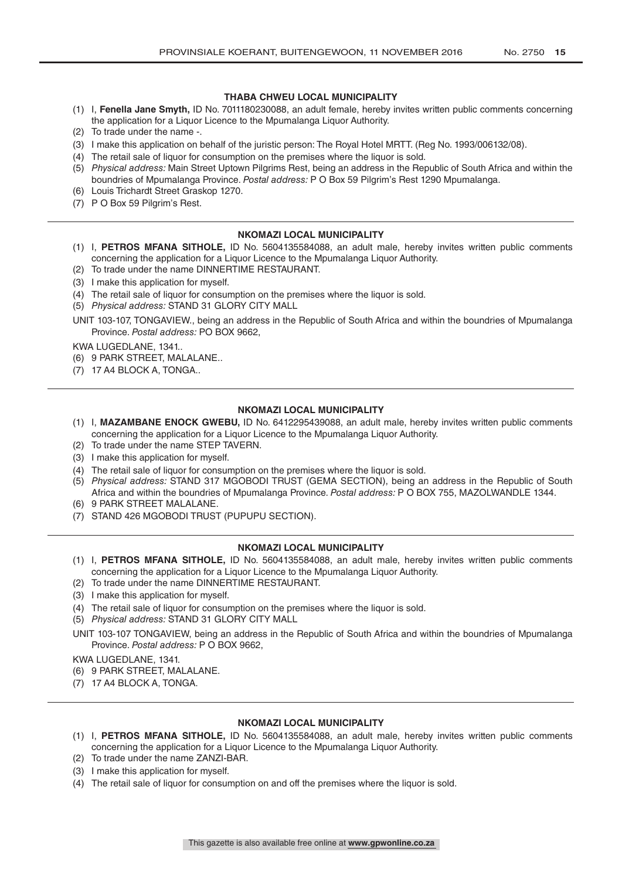#### **THABA CHWEU LOCAL MUNICIPALITY**

- (1) I, **Fenella Jane Smyth,** ID No. 7011180230088, an adult female, hereby invites written public comments concerning the application for a Liquor Licence to the Mpumalanga Liquor Authority.
- (2) To trade under the name -.
- (3) I make this application on behalf of the juristic person: The Royal Hotel MRTT. (Reg No. 1993/006132/08).
- (4) The retail sale of liquor for consumption on the premises where the liquor is sold.
- (5) *Physical address:* Main Street Uptown Pilgrims Rest, being an address in the Republic of South Africa and within the boundries of Mpumalanga Province. *Postal address:* P O Box 59 Pilgrim's Rest 1290 Mpumalanga.
- (6) Louis Trichardt Street Graskop 1270.
- (7) P O Box 59 Pilgrim's Rest.

#### **NKOMAZI LOCAL MUNICIPALITY**

- (1) I, **PETROS MFANA SITHOLE,** ID No. 5604135584088, an adult male, hereby invites written public comments concerning the application for a Liquor Licence to the Mpumalanga Liquor Authority.
- (2) To trade under the name DINNERTIME RESTAURANT.
- (3) I make this application for myself.
- (4) The retail sale of liquor for consumption on the premises where the liquor is sold.
- (5) *Physical address:* STAND 31 GLORY CITY MALL

UNIT 103-107, TONGAVIEW., being an address in the Republic of South Africa and within the boundries of Mpumalanga Province. *Postal address:* PO BOX 9662,

KWA LUGEDLANE, 1341..

(6) 9 PARK STREET, MALALANE..

(7) 17 A4 BLOCK A, TONGA..

#### **NKOMAZI LOCAL MUNICIPALITY**

- (1) I, **MAZAMBANE ENOCK GWEBU,** ID No. 6412295439088, an adult male, hereby invites written public comments concerning the application for a Liquor Licence to the Mpumalanga Liquor Authority.
- (2) To trade under the name STEP TAVERN.
- (3) I make this application for myself.
- (4) The retail sale of liquor for consumption on the premises where the liquor is sold.
- (5) *Physical address:* STAND 317 MGOBODI TRUST (GEMA SECTION), being an address in the Republic of South Africa and within the boundries of Mpumalanga Province. *Postal address:* P O BOX 755, MAZOLWANDLE 1344.
- (6) 9 PARK STREET MALALANE.
- (7) STAND 426 MGOBODI TRUST (PUPUPU SECTION).

#### **NKOMAZI LOCAL MUNICIPALITY**

- (1) I, **PETROS MFANA SITHOLE,** ID No. 5604135584088, an adult male, hereby invites written public comments concerning the application for a Liquor Licence to the Mpumalanga Liquor Authority.
- (2) To trade under the name DINNERTIME RESTAURANT.
- (3) I make this application for myself.
- (4) The retail sale of liquor for consumption on the premises where the liquor is sold.
- (5) *Physical address:* STAND 31 GLORY CITY MALL
- UNIT 103-107 TONGAVIEW, being an address in the Republic of South Africa and within the boundries of Mpumalanga Province. *Postal address:* P O BOX 9662,

KWA LUGEDLANE, 1341.

- (6) 9 PARK STREET, MALALANE.
- (7) 17 A4 BLOCK A, TONGA.

#### **NKOMAZI LOCAL MUNICIPALITY**

- (1) I, **PETROS MFANA SITHOLE,** ID No. 5604135584088, an adult male, hereby invites written public comments concerning the application for a Liquor Licence to the Mpumalanga Liquor Authority.
- (2) To trade under the name ZANZI-BAR.
- (3) I make this application for myself.
- (4) The retail sale of liquor for consumption on and off the premises where the liquor is sold.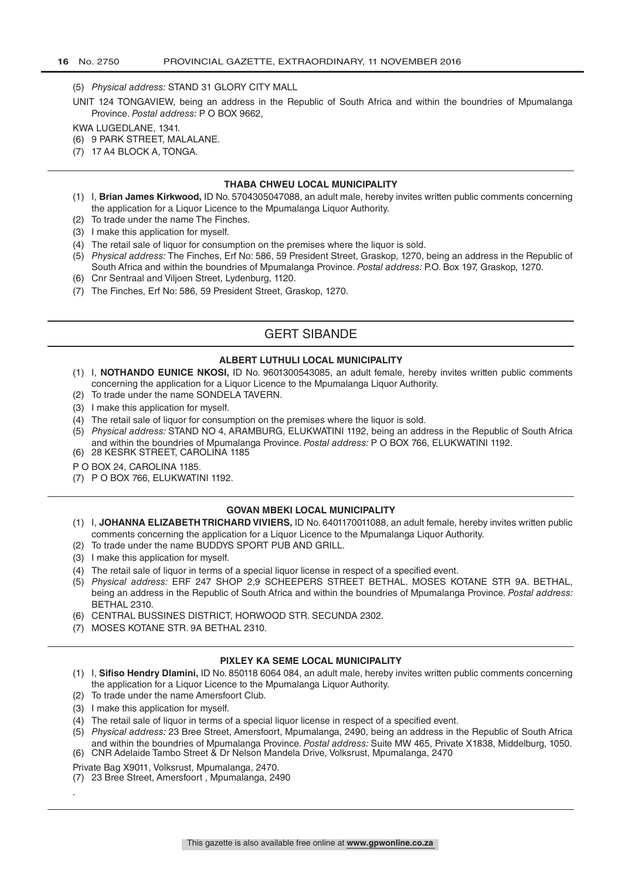#### (5) *Physical address:* STAND 31 GLORY CITY MALL

UNIT 124 TONGAVIEW, being an address in the Republic of South Africa and within the boundries of Mpumalanga Province. *Postal address:* P O BOX 9662,

#### KWA LUGEDLANE, 1341.

(6) 9 PARK STREET, MALALANE.

(7) 17 A4 BLOCK A, TONGA.

#### **THABA CHWEU LOCAL MUNICIPALITY**

- (1) I, **Brian James Kirkwood,** ID No. 5704305047088, an adult male, hereby invites written public comments concerning the application for a Liquor Licence to the Mpumalanga Liquor Authority.
- (2) To trade under the name The Finches.
- (3) I make this application for myself.
- (4) The retail sale of liquor for consumption on the premises where the liquor is sold.
- (5) *Physical address:* The Finches, Erf No: 586, 59 President Street, Graskop, 1270, being an address in the Republic of South Africa and within the boundries of Mpumalanga Province. *Postal address:* P.O. Box 197, Graskop, 1270.
- (6) Cnr Sentraal and Viljoen Street, Lydenburg, 1120.
- (7) The Finches, Erf No: 586, 59 President Street, Graskop, 1270.

# GERT SIBANDE

#### **ALBERT LUTHULI LOCAL MUNICIPALITY**

- (1) I, **NOTHANDO EUNICE NKOSI,** ID No. 9601300543085, an adult female, hereby invites written public comments concerning the application for a Liquor Licence to the Mpumalanga Liquor Authority.
- (2) To trade under the name SONDELA TAVERN.
- (3) I make this application for myself.
- (4) The retail sale of liquor for consumption on the premises where the liquor is sold.
- (5) *Physical address:* STAND NO 4, ARAMBURG, ELUKWATINI 1192, being an address in the Republic of South Africa and within the boundries of Mpumalanga Province. *Postal address:* P O BOX 766, ELUKWATINI 1192.
- (6) 28 KESRK STREET, CAROLINA 1185

P O BOX 24, CAROLINA 1185.

(7) P O BOX 766, ELUKWATINI 1192.

#### **GOVAN MBEKI LOCAL MUNICIPALITY**

- (1) I, **JOHANNA ELIZABETH TRICHARD VIVIERS,** ID No. 6401170011088, an adult female, hereby invites written public comments concerning the application for a Liquor Licence to the Mpumalanga Liquor Authority.
- (2) To trade under the name BUDDYS SPORT PUB AND GRILL.
- (3) I make this application for myself.
- (4) The retail sale of liquor in terms of a special liquor license in respect of a specified event.
- (5) *Physical address:* ERF 247 SHOP 2,9 SCHEEPERS STREET BETHAL. MOSES KOTANE STR 9A. BETHAL, being an address in the Republic of South Africa and within the boundries of Mpumalanga Province. *Postal address:*  BETHAL 2310.
- (6) CENTRAL BUSSINES DISTRICT, HORWOOD STR. SECUNDA 2302.
- (7) MOSES KOTANE STR. 9A BETHAL 2310.

#### **PIXLEY KA SEME LOCAL MUNICIPALITY**

- (1) I, **Sifiso Hendry Dlamini,** ID No. 850118 6064 084, an adult male, hereby invites written public comments concerning the application for a Liquor Licence to the Mpumalanga Liquor Authority.
- (2) To trade under the name Amersfoort Club.
- (3) I make this application for myself.

.

- (4) The retail sale of liquor in terms of a special liquor license in respect of a specified event.
- (5) *Physical address:* 23 Bree Street, Amersfoort, Mpumalanga, 2490, being an address in the Republic of South Africa and within the boundries of Mpumalanga Province. *Postal address:* Suite MW 465, Private X1838, Middelburg, 1050. (6) CNR Adelaide Tambo Street & Dr Nelson Mandela Drive, Volksrust, Mpumalanga, 2470
- 
- Private Bag X9011, Volksrust, Mpumalanga, 2470. (7) 23 Bree Street, Amersfoort , Mpumalanga, 2490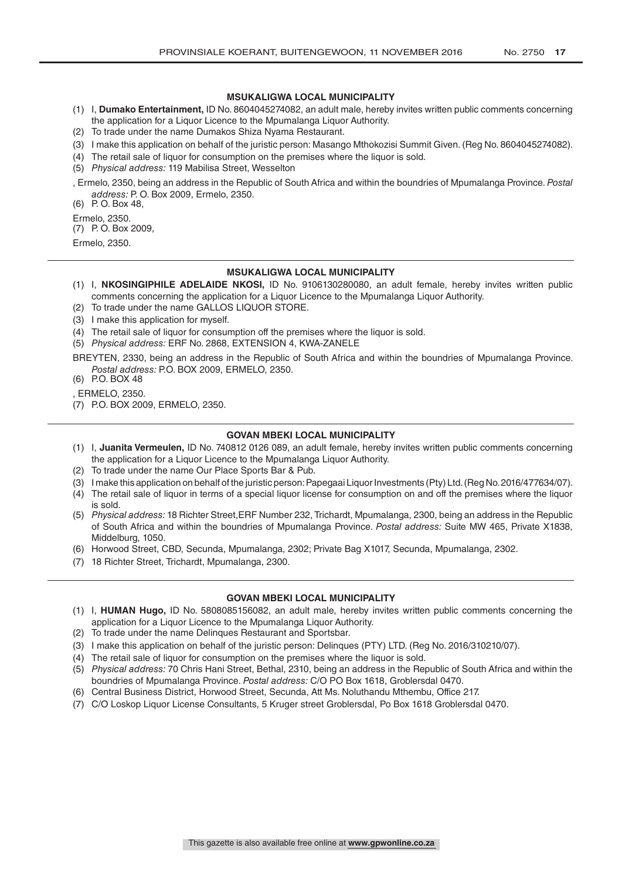#### **MSUKALIGWA LOCAL MUNICIPALITY**

- (1) I, **Dumako Entertainment,** ID No. 8604045274082, an adult male, hereby invites written public comments concerning the application for a Liquor Licence to the Mpumalanga Liquor Authority.
- (2) To trade under the name Dumakos Shiza Nyama Restaurant.
- (3) I make this application on behalf of the juristic person: Masango Mthokozisi Summit Given. (Reg No. 8604045274082).
- (4) The retail sale of liquor for consumption on the premises where the liquor is sold.
- (5) *Physical address:* 119 Mabilisa Street, Wesselton
- , Ermelo, 2350, being an address in the Republic of South Africa and within the boundries of Mpumalanga Province. *Postal address:* P. O. Box 2009, Ermelo, 2350.
- (6) P. O. Box 48,
- Ermelo, 2350.

(7) P. O. Box 2009,

Ermelo, 2350.

#### **MSUKALIGWA LOCAL MUNICIPALITY**

- (1) I, **NKOSINGIPHILE ADELAIDE NKOSI,** ID No. 9106130280080, an adult female, hereby invites written public comments concerning the application for a Liquor Licence to the Mpumalanga Liquor Authority.
- (2) To trade under the name GALLOS LIQUOR STORE.
- (3) I make this application for myself.
- (4) The retail sale of liquor for consumption off the premises where the liquor is sold.
- (5) *Physical address:* ERF No. 2868, EXTENSION 4, KWA-ZANELE
- BREYTEN, 2330, being an address in the Republic of South Africa and within the boundries of Mpumalanga Province. *Postal address:* P.O. BOX 2009, ERMELO, 2350.
- (6) P.O. BOX 48
- , ERMELO, 2350.
- (7) P.O. BOX 2009, ERMELO, 2350.

#### **GOVAN MBEKI LOCAL MUNICIPALITY**

- (1) I, **Juanita Vermeulen,** ID No. 740812 0126 089, an adult female, hereby invites written public comments concerning the application for a Liquor Licence to the Mpumalanga Liquor Authority.
- (2) To trade under the name Our Place Sports Bar & Pub.
- (3) I make this application on behalf of the juristic person: Papegaai Liquor Investments (Pty) Ltd. (Reg No. 2016/477634/07).
- (4) The retail sale of liquor in terms of a special liquor license for consumption on and off the premises where the liquor is sold.
- (5) *Physical address:* 18 Richter Street,ERF Number 232, Trichardt, Mpumalanga, 2300, being an address in the Republic of South Africa and within the boundries of Mpumalanga Province. *Postal address:* Suite MW 465, Private X1838, Middelburg, 1050.
- (6) Horwood Street, CBD, Secunda, Mpumalanga, 2302; Private Bag X1017, Secunda, Mpumalanga, 2302.
- (7) 18 Richter Street, Trichardt, Mpumalanga, 2300.

#### **GOVAN MBEKI LOCAL MUNICIPALITY**

- (1) I, **HUMAN Hugo,** ID No. 5808085156082, an adult male, hereby invites written public comments concerning the application for a Liquor Licence to the Mpumalanga Liquor Authority.
- (2) To trade under the name Delinques Restaurant and Sportsbar.
- (3) I make this application on behalf of the juristic person: Delinques (PTY) LTD. (Reg No. 2016/310210/07).
- (4) The retail sale of liquor for consumption on the premises where the liquor is sold.
- (5) *Physical address:* 70 Chris Hani Street, Bethal, 2310, being an address in the Republic of South Africa and within the boundries of Mpumalanga Province. *Postal address:* C/O PO Box 1618, Groblersdal 0470.
- (6) Central Business District, Horwood Street, Secunda, Att Ms. Noluthandu Mthembu, Office 217.
- (7) C/O Loskop Liquor License Consultants, 5 Kruger street Groblersdal, Po Box 1618 Groblersdal 0470.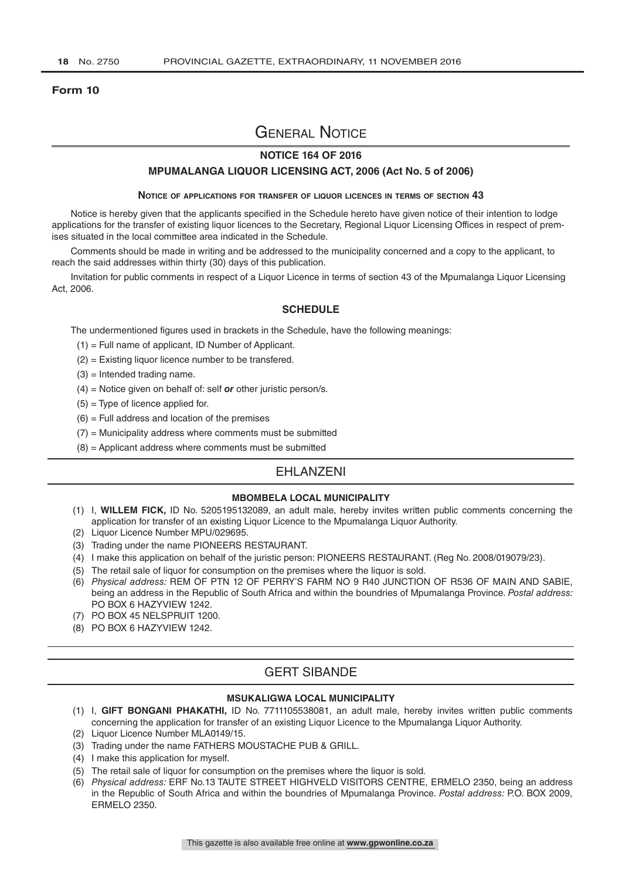#### **Form 10**

# General Notice

### **NOTICE 164 OF 2016**

#### **MPUMALANGA LIQUOR LICENSING ACT, 2006 (Act No. 5 of 2006)**

#### **Notice of applications for transfer of liquor licences in terms of section 43**

Notice is hereby given that the applicants specified in the Schedule hereto have given notice of their intention to lodge applications for the transfer of existing liquor licences to the Secretary, Regional Liquor Licensing Offices in respect of premises situated in the local committee area indicated in the Schedule.

Comments should be made in writing and be addressed to the municipality concerned and a copy to the applicant, to reach the said addresses within thirty (30) days of this publication.

Invitation for public comments in respect of a Liquor Licence in terms of section 43 of the Mpumalanga Liquor Licensing Act, 2006.

#### **SCHEDULE**

The undermentioned figures used in brackets in the Schedule, have the following meanings:

- (1) = Full name of applicant, ID Number of Applicant.
- (2) = Existing liquor licence number to be transfered.
- $(3)$  = Intended trading name.
- (4) = Notice given on behalf of: self *or* other juristic person/s.
- $(5)$  = Type of licence applied for.
- $(6)$  = Full address and location of the premises
- $(7)$  = Municipality address where comments must be submitted
- $(8)$  = Applicant address where comments must be submitted

### EHLANZENI

#### **MBOMBELA LOCAL MUNICIPALITY**

- (1) I, **WILLEM FICK,** ID No. 5205195132089, an adult male, hereby invites written public comments concerning the application for transfer of an existing Liquor Licence to the Mpumalanga Liquor Authority.
- (2) Liquor Licence Number MPU/029695.
- (3) Trading under the name PIONEERS RESTAURANT.
- (4) I make this application on behalf of the juristic person: PIONEERS RESTAURANT. (Reg No. 2008/019079/23).
- (5) The retail sale of liquor for consumption on the premises where the liquor is sold.
- (6) *Physical address:* REM OF PTN 12 OF PERRY'S FARM NO 9 R40 JUNCTION OF R536 OF MAIN AND SABIE, being an address in the Republic of South Africa and within the boundries of Mpumalanga Province. *Postal address:*  PO BOX 6 HAZYVIEW 1242.
- (7) PO BOX 45 NELSPRUIT 1200.
- (8) PO BOX 6 HAZYVIEW 1242.

# GERT SIBANDE

#### **MSUKALIGWA LOCAL MUNICIPALITY**

- (1) I, **GIFT BONGANI PHAKATHI,** ID No. 7711105538081, an adult male, hereby invites written public comments concerning the application for transfer of an existing Liquor Licence to the Mpumalanga Liquor Authority.
- (2) Liquor Licence Number MLA0149/15.
- (3) Trading under the name FATHERS MOUSTACHE PUB & GRILL.
- (4) I make this application for myself.
- (5) The retail sale of liquor for consumption on the premises where the liquor is sold.
- (6) *Physical address:* ERF No.13 TAUTE STREET HIGHVELD VISITORS CENTRE, ERMELO 2350, being an address in the Republic of South Africa and within the boundries of Mpumalanga Province. *Postal address:* P.O. BOX 2009, ERMELO 2350.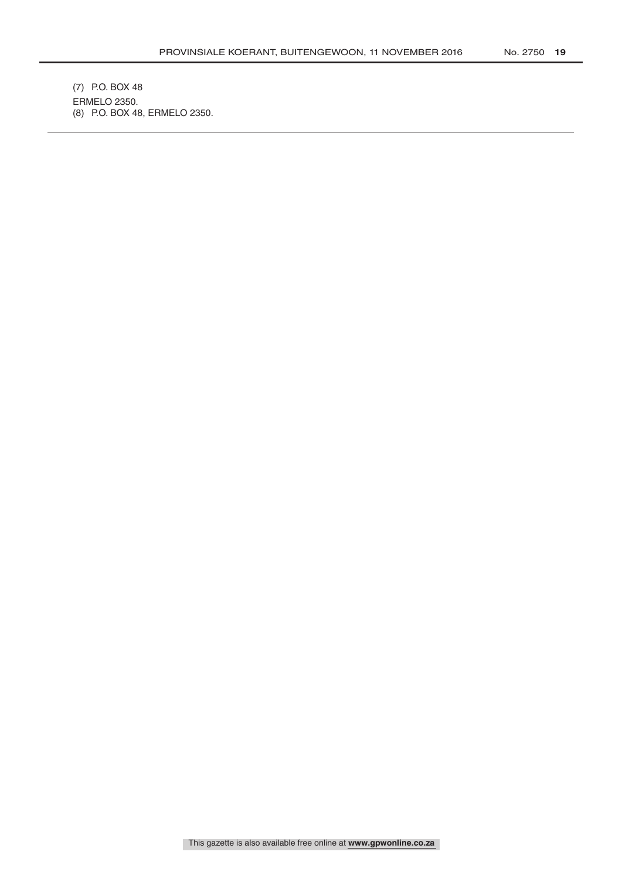(7) P.O. BOX 48 ERMELO 2350. (8) P.O. BOX 48, ERMELO 2350.